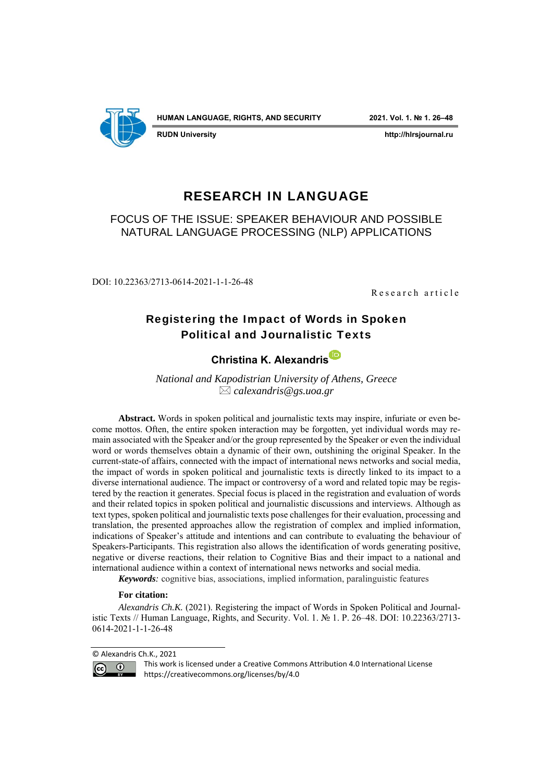

**RUDN University http://hlrsjournal.ru**

# RESEARCH IN LANGUAGE

FOCUS OF THE ISSUE: SPEAKER BEHAVIOUR AND POSSIBLE NATURAL LANGUAGE PROCESSING (NLP) APPLICATIONS

DOI: 10.22363/2713-0614-2021-1-1-26-48

R e s e ar charticle

# Registering the Impact of Words in Spoken Political and Journalistic Texts

# **Christina K. [Alexandris](https://orcid.org/0000-0001-5191-3246)**

*National and Kapodistrian University of Athens, Greece calexandris@gs.uoa.gr*

**Abstract.** Words in spoken political and journalistic texts may inspire, infuriate or even become mottos. Often, the entire spoken interaction may be forgotten, yet individual words may remain associated with the Speaker and/or the group represented by the Speaker or even the individual word or words themselves obtain a dynamic of their own, outshining the original Speaker. In the current-state-of affairs, connected with the impact of international news networks and social media, the impact of words in spoken political and journalistic texts is directly linked to its impact to a diverse international audience. The impact or controversy of a word and related topic may be registered by the reaction it generates. Special focus is placed in the registration and evaluation of words and their related topics in spoken political and journalistic discussions and interviews. Although as text types, spoken political and journalistic texts pose challenges for their evaluation, processing and translation, the presented approaches allow the registration of complex and implied information, indications of Speaker's attitude and intentions and can contribute to evaluating the behaviour of Speakers-Participants. This registration also allows the identification of words generating positive, negative or diverse reactions, their relation to Cognitive Bias and their impact to a national and international audience within a context of international news networks and social media.

*Keywords:* cognitive bias, associations, implied information, paralinguistic features

#### **For citation:**

*Alexandris Ch.K.* (2021). Registering the impact of Words in Spoken Political and Journalistic Texts // Human Language, Rights, and Security. Vol. 1. № 1. P. 26–48. DOI: 10.22363/2713- 0614-2021-1-1-26-48

<sup>©</sup> Alexandris Ch.K., 2021



This work is licensed under a Creative Commons Attribution 4.0 International License https://creativecommons.org/licenses/by/4.0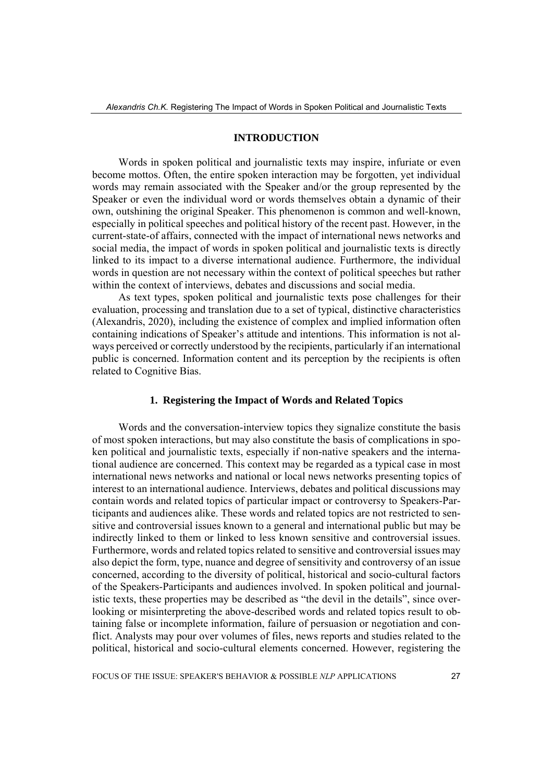#### **INTRODUCTION**

Words in spoken political and journalistic texts may inspire, infuriate or even become mottos. Often, the entire spoken interaction may be forgotten, yet individual words may remain associated with the Speaker and/or the group represented by the Speaker or even the individual word or words themselves obtain a dynamic of their own, outshining the original Speaker. This phenomenon is common and well-known, especially in political speeches and political history of the recent past. However, in the current-state-of affairs, connected with the impact of international news networks and social media, the impact of words in spoken political and journalistic texts is directly linked to its impact to a diverse international audience. Furthermore, the individual words in question are not necessary within the context of political speeches but rather within the context of interviews, debates and discussions and social media.

As text types, spoken political and journalistic texts pose challenges for their evaluation, processing and translation due to a set of typical, distinctive characteristics (Alexandris, 2020), including the existence of complex and implied information often containing indications of Speaker's attitude and intentions. This information is not always perceived or correctly understood by the recipients, particularly if an international public is concerned. Information content and its perception by the recipients is often related to Cognitive Bias.

#### **1. Registering the Impact of Words and Related Topics**

Words and the conversation-interview topics they signalize constitute the basis of most spoken interactions, but may also constitute the basis of complications in spoken political and journalistic texts, especially if non-native speakers and the international audience are concerned. This context may be regarded as a typical case in most international news networks and national or local news networks presenting topics of interest to an international audience. Interviews, debates and political discussions may contain words and related topics of particular impact or controversy to Speakers-Participants and audiences alike. These words and related topics are not restricted to sensitive and controversial issues known to a general and international public but may be indirectly linked to them or linked to less known sensitive and controversial issues. Furthermore, words and related topics related to sensitive and controversial issues may also depict the form, type, nuance and degree of sensitivity and controversy of an issue concerned, according to the diversity of political, historical and socio-cultural factors of the Speakers-Participants and audiences involved. In spoken political and journalistic texts, these properties may be described as "the devil in the details", since overlooking or misinterpreting the above-described words and related topics result to obtaining false or incomplete information, failure of persuasion or negotiation and conflict. Analysts may pour over volumes of files, news reports and studies related to the political, historical and socio-cultural elements concerned. However, registering the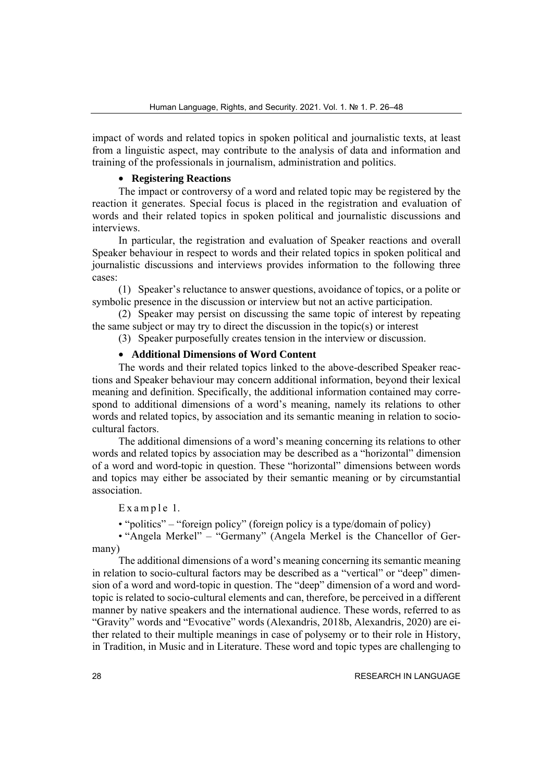impact of words and related topics in spoken political and journalistic texts, at least from a linguistic aspect, may contribute to the analysis of data and information and training of the professionals in journalism, administration and politics.

## • **Registering Reactions**

The impact or controversy of a word and related topic may be registered by the reaction it generates. Special focus is placed in the registration and evaluation of words and their related topics in spoken political and journalistic discussions and interviews.

In particular, the registration and evaluation of Speaker reactions and overall Speaker behaviour in respect to words and their related topics in spoken political and journalistic discussions and interviews provides information to the following three cases:

(1) Speaker's reluctance to answer questions, avoidance of topics, or a polite or symbolic presence in the discussion or interview but not an active participation.

(2) Speaker may persist on discussing the same topic of interest by repeating the same subject or may try to direct the discussion in the topic(s) or interest

(3) Speaker purposefully creates tension in the interview or discussion.

# • **Additional Dimensions of Word Content**

The words and their related topics linked to the above-described Speaker reactions and Speaker behaviour may concern additional information, beyond their lexical meaning and definition. Specifically, the additional information contained may correspond to additional dimensions of a word's meaning, namely its relations to other words and related topics, by association and its semantic meaning in relation to sociocultural factors.

The additional dimensions of a word's meaning concerning its relations to other words and related topics by association may be described as a "horizontal" dimension of a word and word-topic in question. These "horizontal" dimensions between words and topics may either be associated by their semantic meaning or by circumstantial association.

 $Example 1.$ 

• "politics" – "foreign policy" (foreign policy is a type/domain of policy)

• "Angela Merkel" – "Germany" (Angela Merkel is the Chancellor of Germany)

The additional dimensions of a word's meaning concerning its semantic meaning in relation to socio-cultural factors may be described as a "vertical" or "deep" dimension of a word and word-topic in question. The "deep" dimension of a word and wordtopic is related to socio-cultural elements and can, therefore, be perceived in a different manner by native speakers and the international audience. These words, referred to as "Gravity" words and "Evocative" words (Alexandris, 2018b, Alexandris, 2020) are either related to their multiple meanings in case of polysemy or to their role in History, in Tradition, in Music and in Literature. These word and topic types are challenging to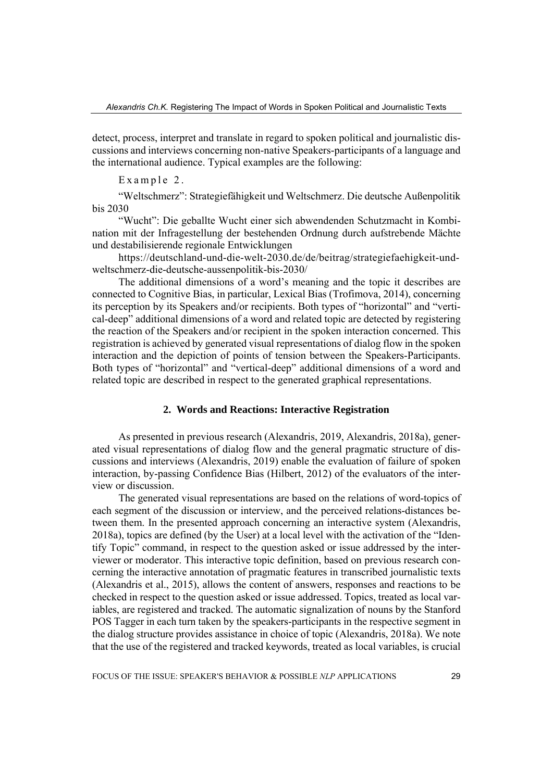detect, process, interpret and translate in regard to spoken political and journalistic discussions and interviews concerning non-native Speakers-participants of a language and the international audience. Typical examples are the following:

Example 2.

"Weltschmerz": Strategiefähigkeit und Weltschmerz. Die deutsche Außenpolitik bis 2030

"Wucht": Die geballte Wucht einer sich abwendenden Schutzmacht in Kombination mit der Infragestellung der bestehenden Ordnung durch aufstrebende Mächte und destabilisierende regionale Entwicklungen

https://deutschland-und-die-welt-2030.de/de/beitrag/strategiefaehigkeit-undweltschmerz-die-deutsche-aussenpolitik-bis-2030/

The additional dimensions of a word's meaning and the topic it describes are connected to Cognitive Bias, in particular, Lexical Bias (Trofimova, 2014), concerning its perception by its Speakers and/or recipients. Both types of "horizontal" and "vertical-deep" additional dimensions of a word and related topic are detected by registering the reaction of the Speakers and/or recipient in the spoken interaction concerned. This registration is achieved by generated visual representations of dialog flow in the spoken interaction and the depiction of points of tension between the Speakers-Participants. Both types of "horizontal" and "vertical-deep" additional dimensions of a word and related topic are described in respect to the generated graphical representations.

#### **2. Words and Reactions: Interactive Registration**

As presented in previous research (Alexandris, 2019, Alexandris, 2018a), generated visual representations of dialog flow and the general pragmatic structure of discussions and interviews (Alexandris, 2019) enable the evaluation of failure of spoken interaction, by-passing Confidence Bias (Hilbert, 2012) of the evaluators of the interview or discussion.

The generated visual representations are based on the relations of word-topics of each segment of the discussion or interview, and the perceived relations-distances between them. In the presented approach concerning an interactive system (Alexandris, 2018a), topics are defined (by the User) at a local level with the activation of the "Identify Topic" command, in respect to the question asked or issue addressed by the interviewer or moderator. This interactive topic definition, based on previous research concerning the interactive annotation of pragmatic features in transcribed journalistic texts (Alexandris et al., 2015), allows the content of answers, responses and reactions to be checked in respect to the question asked or issue addressed. Topics, treated as local variables, are registered and tracked. The automatic signalization of nouns by the Stanford POS Tagger in each turn taken by the speakers-participants in the respective segment in the dialog structure provides assistance in choice of topic (Alexandris, 2018a). We note that the use of the registered and tracked keywords, treated as local variables, is crucial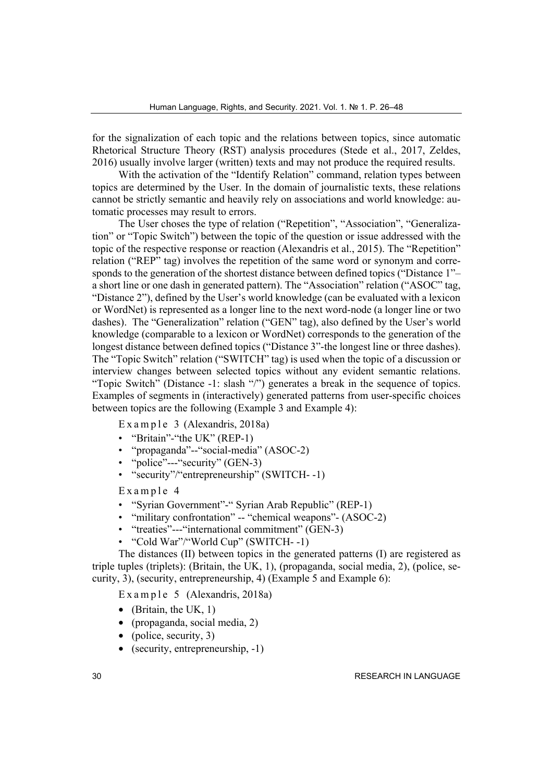for the signalization of each topic and the relations between topics, since automatic Rhetorical Structure Theory (RST) analysis procedures (Stede et al., 2017, Zeldes, 2016) usually involve larger (written) texts and may not produce the required results.

With the activation of the "Identify Relation" command, relation types between topics are determined by the User. In the domain of journalistic texts, these relations cannot be strictly semantic and heavily rely on associations and world knowledge: automatic processes may result to errors.

The User choses the type of relation ("Repetition", "Association", "Generalization" or "Topic Switch") between the topic of the question or issue addressed with the topic of the respective response or reaction (Alexandris et al., 2015). The "Repetition" relation ("REP" tag) involves the repetition of the same word or synonym and corresponds to the generation of the shortest distance between defined topics ("Distance 1"– a short line or one dash in generated pattern). The "Association" relation ("ASOC" tag, "Distance 2"), defined by the User's world knowledge (can be evaluated with a lexicon or WordNet) is represented as a longer line to the next word-node (a longer line or two dashes). The "Generalization" relation ("GEN" tag), also defined by the User's world knowledge (comparable to a lexicon or WordNet) corresponds to the generation of the longest distance between defined topics ("Distance 3"-the longest line or three dashes). The "Topic Switch" relation ("SWITCH" tag) is used when the topic of a discussion or interview changes between selected topics without any evident semantic relations. "Topic Switch" (Distance -1: slash "/") generates a break in the sequence of topics. Examples of segments in (interactively) generated patterns from user-specific choices between topics are the following (Example 3 and Example 4):

Example 3 (Alexandris, 2018a)

- "Britain"-"the UK" (REP-1)
- "propaganda"--"social-media" (ASOC-2)
- "police"---"security" (GEN-3)
- "security"/"entrepreneurship" (SWITCH--1)

Example 4

- "Syrian Government"-" Syrian Arab Republic" (REP-1)
- "military confrontation" -- "chemical weapons" (ASOC-2)
- "treaties"---"international commitment" (GEN-3)
- "Cold War"/"World Cup" (SWITCH- -1)

The distances (II) between topics in the generated patterns (I) are registered as triple tuples (triplets): (Britain, the UK, 1), (propaganda, social media, 2), (police, security, 3), (security, entrepreneurship, 4) (Example 5 and Example 6):

E x a m p l e  $5$  (Alexandris, 2018a)

- (Britain, the UK, 1)
- (propaganda, social media, 2)
- (police, security,  $3$ )
- (security, entrepreneurship, -1)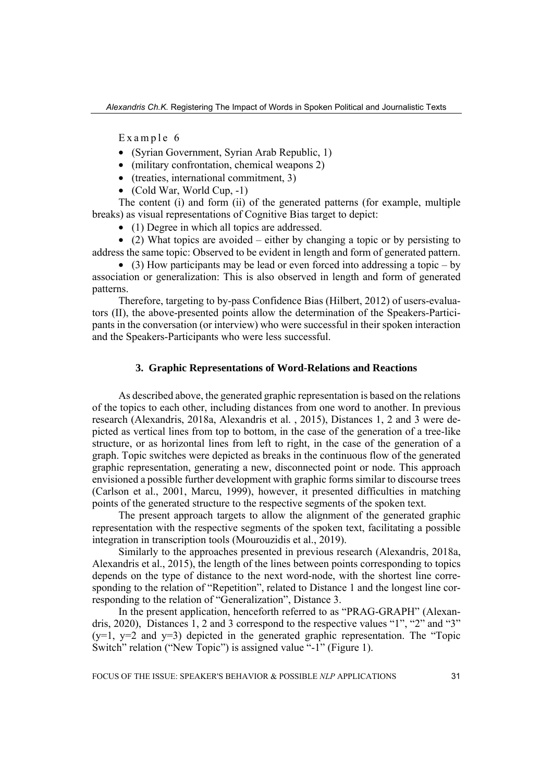Example 6

- (Syrian Government, Syrian Arab Republic, 1)
- (military confrontation, chemical weapons 2)
- (treaties, international commitment, 3)
- (Cold War, World Cup, -1)

The content (i) and form (ii) of the generated patterns (for example, multiple breaks) as visual representations of Cognitive Bias target to depict:

• (1) Degree in which all topics are addressed.

• (2) What topics are avoided – either by changing a topic or by persisting to address the same topic: Observed to be evident in length and form of generated pattern.

• (3) How participants may be lead or even forced into addressing a topic – by association or generalization: This is also observed in length and form of generated patterns.

Therefore, targeting to by-pass Confidence Bias (Hilbert, 2012) of users-evaluators (II), the above-presented points allow the determination of the Speakers-Participants in the conversation (or interview) who were successful in their spoken interaction and the Speakers-Participants who were less successful.

#### **3. Graphic Representations of Word-Relations and Reactions**

As described above, the generated graphic representation is based on the relations of the topics to each other, including distances from one word to another. In previous research (Alexandris, 2018a, Alexandris et al. , 2015), Distances 1, 2 and 3 were depicted as vertical lines from top to bottom, in the case of the generation of a tree-like structure, or as horizontal lines from left to right, in the case of the generation of a graph. Topic switches were depicted as breaks in the continuous flow of the generated graphic representation, generating a new, disconnected point or node. This approach envisioned a possible further development with graphic forms similar to discourse trees (Carlson et al., 2001, Marcu, 1999), however, it presented difficulties in matching points of the generated structure to the respective segments of the spoken text.

The present approach targets to allow the alignment of the generated graphic representation with the respective segments of the spoken text, facilitating a possible integration in transcription tools (Mourouzidis et al., 2019).

Similarly to the approaches presented in previous research (Alexandris, 2018a, Alexandris et al., 2015), the length of the lines between points corresponding to topics depends on the type of distance to the next word-node, with the shortest line corresponding to the relation of "Repetition", related to Distance 1 and the longest line corresponding to the relation of "Generalization", Distance 3.

In the present application, henceforth referred to as "PRAG-GRAPH" (Alexandris, 2020), Distances 1, 2 and 3 correspond to the respective values "1", "2" and "3"  $(y=1, y=2, and y=3)$  depicted in the generated graphic representation. The "Topic Switch" relation ("New Topic") is assigned value "-1" (Figure 1).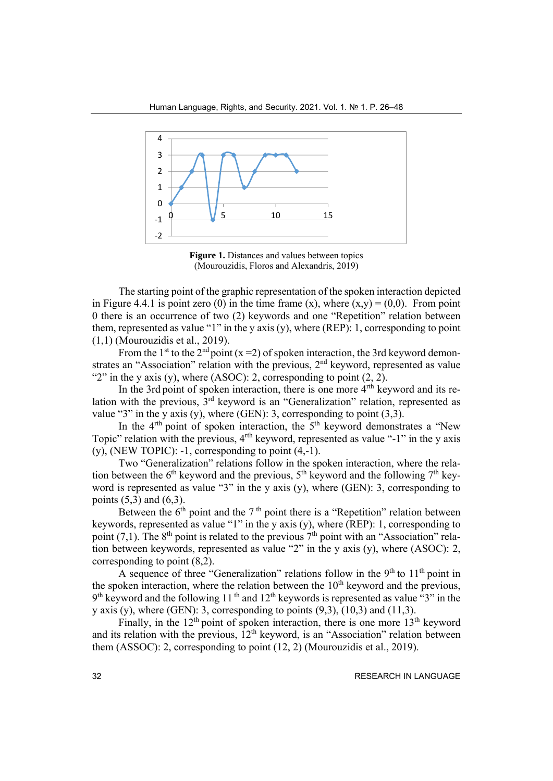

**Figure 1.** Distances and values between topics (Mourouzidis, Floros and Alexandris, 2019)

The starting point of the graphic representation of the spoken interaction depicted in Figure 4.4.1 is point zero (0) in the time frame (x), where  $(x, y) = (0,0)$ . From point 0 there is an occurrence of two (2) keywords and one "Repetition" relation between them, represented as value "1" in the y axis  $(v)$ , where (REP): 1, corresponding to point (1,1) (Mourouzidis et al., 2019).

From the 1<sup>st</sup> to the 2<sup>nd</sup> point (x = 2) of spoken interaction, the 3rd keyword demonstrates an "Association" relation with the previous, 2<sup>nd</sup> keyword, represented as value "2" in the y axis (y), where (ASOC): 2, corresponding to point  $(2, 2)$ .

In the 3rd point of spoken interaction, there is one more  $4<sup>nth</sup>$  keyword and its relation with the previous,  $3<sup>rd</sup>$  keyword is an "Generalization" relation, represented as value "3" in the y axis (y), where (GEN): 3, corresponding to point  $(3,3)$ .

In the  $4<sup>th</sup>$  point of spoken interaction, the  $5<sup>th</sup>$  keyword demonstrates a "New Topic" relation with the previous, 4<sup>rth</sup> keyword, represented as value "-1" in the y axis  $(y)$ , (NEW TOPIC): -1, corresponding to point  $(4,-1)$ .

Two "Generalization" relations follow in the spoken interaction, where the relation between the  $6<sup>th</sup>$  keyword and the previous,  $5<sup>th</sup>$  keyword and the following  $7<sup>th</sup>$  keyword is represented as value "3" in the y axis (y), where (GEN): 3, corresponding to points  $(5,3)$  and  $(6,3)$ .

Between the  $6<sup>th</sup>$  point and the  $7<sup>th</sup>$  point there is a "Repetition" relation between keywords, represented as value "1" in the y axis (y), where (REP): 1, corresponding to point (7,1). The  $8<sup>th</sup>$  point is related to the previous  $7<sup>th</sup>$  point with an "Association" relation between keywords, represented as value "2" in the y axis (y), where (ASOC): 2, corresponding to point (8,2).

A sequence of three "Generalization" relations follow in the  $9<sup>th</sup>$  to  $11<sup>th</sup>$  point in the spoken interaction, where the relation between the  $10<sup>th</sup>$  keyword and the previous,  $9<sup>th</sup>$  keyword and the following 11<sup>th</sup> and 12<sup>th</sup> keywords is represented as value "3" in the y axis (y), where (GEN): 3, corresponding to points  $(9.3)$ ,  $(10.3)$  and  $(11.3)$ .

Finally, in the  $12<sup>th</sup>$  point of spoken interaction, there is one more  $13<sup>th</sup>$  keyword and its relation with the previous,  $12<sup>th</sup>$  keyword, is an "Association" relation between them (ASSOC): 2, corresponding to point (12, 2) (Mourouzidis et al., 2019).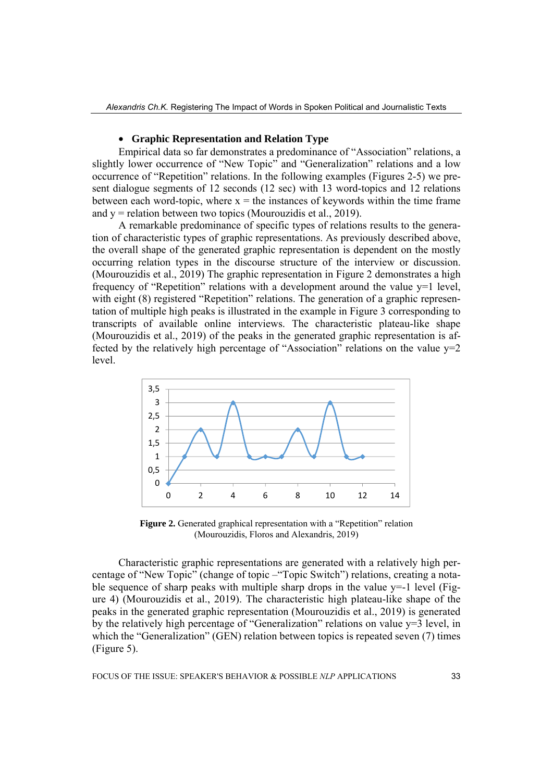## • **Graphic Representation and Relation Type**

Empirical data so far demonstrates a predominance of "Association" relations, a slightly lower occurrence of "New Topic" and "Generalization" relations and a low occurrence of "Repetition" relations. In the following examples (Figures 2-5) we present dialogue segments of 12 seconds (12 sec) with 13 word-topics and 12 relations between each word-topic, where  $x =$  the instances of keywords within the time frame and  $y =$  relation between two topics (Mourouzidis et al., 2019).

A remarkable predominance of specific types of relations results to the generation of characteristic types of graphic representations. As previously described above, the overall shape of the generated graphic representation is dependent on the mostly occurring relation types in the discourse structure of the interview or discussion. (Mourouzidis et al., 2019) The graphic representation in Figure 2 demonstrates a high frequency of "Repetition" relations with a development around the value  $y=1$  level, with eight (8) registered "Repetition" relations. The generation of a graphic representation of multiple high peaks is illustrated in the example in Figure 3 corresponding to transcripts of available online interviews. The characteristic plateau-like shape (Mourouzidis et al., 2019) of the peaks in the generated graphic representation is affected by the relatively high percentage of "Association" relations on the value  $y=2$ level.



**Figure 2.** Generated graphical representation with a "Repetition" relation (Mourouzidis, Floros and Alexandris, 2019)

Characteristic graphic representations are generated with a relatively high percentage of "New Topic" (change of topic –"Topic Switch") relations, creating a notable sequence of sharp peaks with multiple sharp drops in the value  $v=-1$  level (Figure 4) (Mourouzidis et al., 2019). The characteristic high plateau-like shape of the peaks in the generated graphic representation (Mourouzidis et al., 2019) is generated by the relatively high percentage of "Generalization" relations on value y=3 level, in which the "Generalization" (GEN) relation between topics is repeated seven (7) times (Figure 5).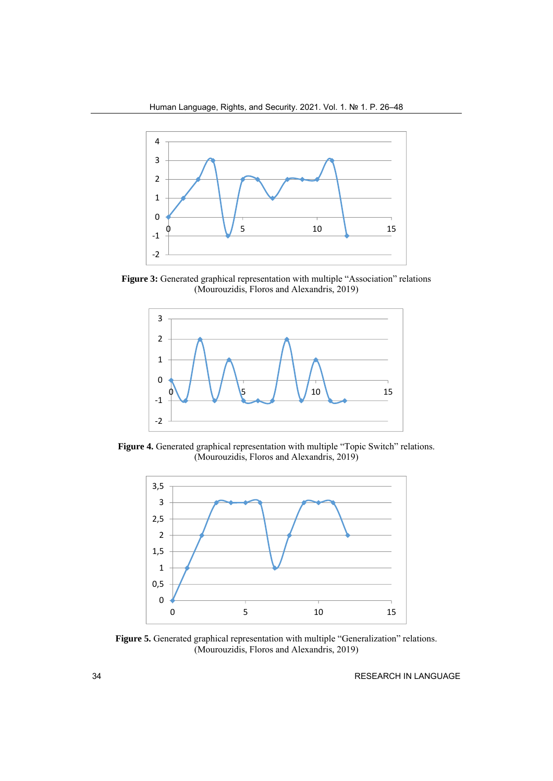

**Figure 3:** Generated graphical representation with multiple "Association" relations (Mourouzidis, Floros and Alexandris, 2019)



**Figure 4.** Generated graphical representation with multiple "Topic Switch" relations. (Mourouzidis, Floros and Alexandris, 2019)



**Figure 5.** Generated graphical representation with multiple "Generalization" relations. (Mourouzidis, Floros and Alexandris, 2019)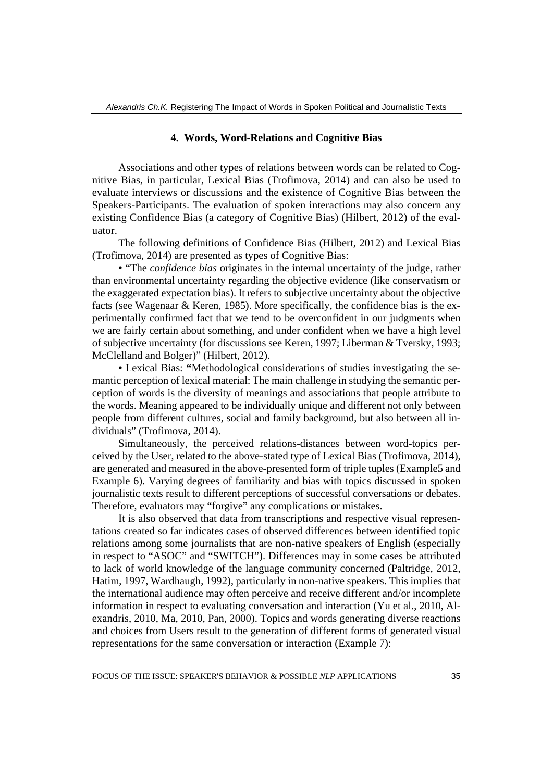## **4. Words, Word-Relations and Cognitive Bias**

Associations and other types of relations between words can be related to Cognitive Bias, in particular, Lexical Bias (Trofimova, 2014) and can also be used to evaluate interviews or discussions and the existence of Cognitive Bias between the Speakers-Participants. The evaluation of spoken interactions may also concern any existing Confidence Bias (a category of Cognitive Bias) (Hilbert, 2012) of the evaluator.

The following definitions of Confidence Bias (Hilbert, 2012) and Lexical Bias (Trofimova, 2014) are presented as types of Cognitive Bias:

• "The *confidence bias* originates in the internal uncertainty of the judge, rather than environmental uncertainty regarding the objective evidence (like conservatism or the exaggerated expectation bias). It refers to subjective uncertainty about the objective facts (see Wagenaar & Keren, 1985). More specifically, the confidence bias is the experimentally confirmed fact that we tend to be overconfident in our judgments when we are fairly certain about something, and under confident when we have a high level of subjective uncertainty (for discussions see Keren, 1997; Liberman & Tversky, 1993; McClelland and Bolger)" (Hilbert, 2012).

• Lexical Bias: **"**Methodological considerations of studies investigating the semantic perception of lexical material: The main challenge in studying the semantic perception of words is the diversity of meanings and associations that people attribute to the words. Meaning appeared to be individually unique and different not only between people from different cultures, social and family background, but also between all individuals" (Trofimova, 2014).

Simultaneously, the perceived relations-distances between word-topics perceived by the User, related to the above-stated type of Lexical Bias (Trofimova, 2014), are generated and measured in the above-presented form of triple tuples (Example5 and Example 6). Varying degrees of familiarity and bias with topics discussed in spoken journalistic texts result to different perceptions of successful conversations or debates. Therefore, evaluators may "forgive" any complications or mistakes.

It is also observed that data from transcriptions and respective visual representations created so far indicates cases of observed differences between identified topic relations among some journalists that are non-native speakers of English (especially in respect to "ASOC" and "SWITCH"). Differences may in some cases be attributed to lack of world knowledge of the language community concerned (Paltridge, 2012, Hatim, 1997, Wardhaugh, 1992), particularly in non-native speakers. This implies that the international audience may often perceive and receive different and/or incomplete information in respect to evaluating conversation and interaction (Yu et al., 2010, Alexandris, 2010, Ma, 2010, Pan, 2000). Topics and words generating diverse reactions and choices from Users result to the generation of different forms of generated visual representations for the same conversation or interaction (Example 7):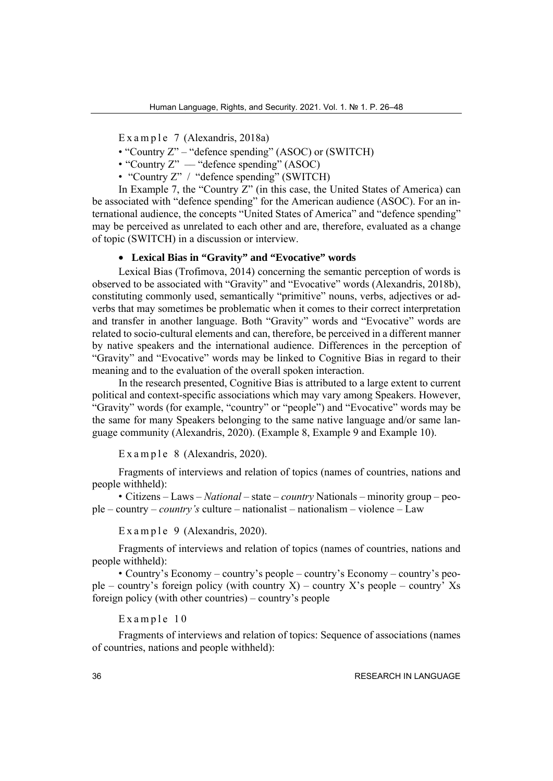Example 7 (Alexandris, 2018a)

- "Country Z" "defence spending" (ASOC) or (SWITCH)
- "Country Z" "defence spending" (ASOC)
- "Country Z" / "defence spending" (SWITCH)

In Example 7, the "Country Z" (in this case, the United States of America) can be associated with "defence spending" for the American audience (ASOC). For an international audience, the concepts "United States of America" and "defence spending" may be perceived as unrelated to each other and are, therefore, evaluated as a change of topic (SWITCH) in a discussion or interview.

## • **Lexical Bias in "Gravity" and "Evocative" words**

Lexical Bias (Trofimova, 2014) concerning the semantic perception of words is observed to be associated with "Gravity" and "Evocative" words (Alexandris, 2018b), constituting commonly used, semantically "primitive" nouns, verbs, adjectives or adverbs that may sometimes be problematic when it comes to their correct interpretation and transfer in another language. Both "Gravity" words and "Evocative" words are related to socio-cultural elements and can, therefore, be perceived in a different manner by native speakers and the international audience. Differences in the perception of "Gravity" and "Evocative" words may be linked to Cognitive Bias in regard to their meaning and to the evaluation of the overall spoken interaction.

In the research presented, Cognitive Bias is attributed to a large extent to current political and context-specific associations which may vary among Speakers. However, "Gravity" words (for example, "country" or "people") and "Evocative" words may be the same for many Speakers belonging to the same native language and/or same language community (Alexandris, 2020). (Example 8, Example 9 and Example 10).

E x a m p l e  $8$  (Alexandris, 2020).

Fragments of interviews and relation of topics (names of countries, nations and people withheld):

• Citizens – Laws – *National –* state – *country* Nationals – minority group – people – country – *country's* culture – nationalist – nationalism – violence – Law

E x a m p l e  $9$  (Alexandris, 2020).

Fragments of interviews and relation of topics (names of countries, nations and people withheld):

• Country's Economy – country's people – country's Economy – country's people – country's foreign policy (with country X) – country X's people – country' Xs foreign policy (with other countries) – country's people

Example 10

Fragments of interviews and relation of topics: Sequence of associations (names of countries, nations and people withheld):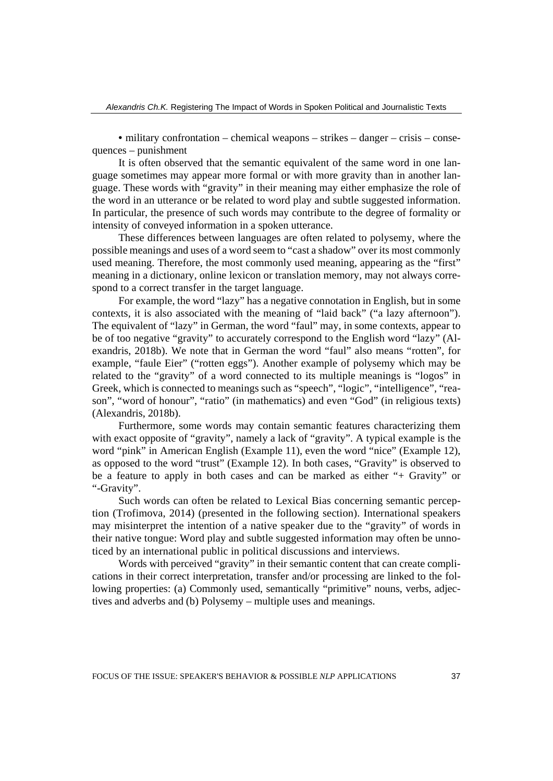• military confrontation – chemical weapons – strikes – danger – crisis – consequences – punishment

It is often observed that the semantic equivalent of the same word in one language sometimes may appear more formal or with more gravity than in another language. These words with "gravity" in their meaning may either emphasize the role of the word in an utterance or be related to word play and subtle suggested information. In particular, the presence of such words may contribute to the degree of formality or intensity of conveyed information in a spoken utterance.

These differences between languages are often related to polysemy, where the possible meanings and uses of a word seem to "cast a shadow" over its most commonly used meaning. Therefore, the most commonly used meaning, appearing as the "first" meaning in a dictionary, online lexicon or translation memory, may not always correspond to a correct transfer in the target language.

For example, the word "lazy" has a negative connotation in English, but in some contexts, it is also associated with the meaning of "laid back" ("a lazy afternoon"). The equivalent of "lazy" in German, the word "faul" may, in some contexts, appear to be of too negative "gravity" to accurately correspond to the English word "lazy" (Alexandris, 2018b). We note that in German the word "faul" also means "rotten", for example, "faule Eier" ("rotten eggs"). Another example of polysemy which may be related to the "gravity" of a word connected to its multiple meanings is "logos" in Greek, which is connected to meanings such as "speech", "logic", "intelligence", "reason", "word of honour", "ratio" (in mathematics) and even "God" (in religious texts) (Alexandris, 2018b).

Furthermore, some words may contain semantic features characterizing them with exact opposite of "gravity", namely a lack of "gravity". A typical example is the word "pink" in American English (Example 11), even the word "nice" (Example 12), as opposed to the word "trust" (Example 12). In both cases, "Gravity" is observed to be a feature to apply in both cases and can be marked as either "+ Gravity" or "-Gravity".

Such words can often be related to Lexical Bias concerning semantic perception (Trofimova, 2014) (presented in the following section). International speakers may misinterpret the intention of a native speaker due to the "gravity" of words in their native tongue: Word play and subtle suggested information may often be unnoticed by an international public in political discussions and interviews.

Words with perceived "gravity" in their semantic content that can create complications in their correct interpretation, transfer and/or processing are linked to the following properties: (a) Commonly used, semantically "primitive" nouns, verbs, adjectives and adverbs and (b) Polysemy – multiple uses and meanings.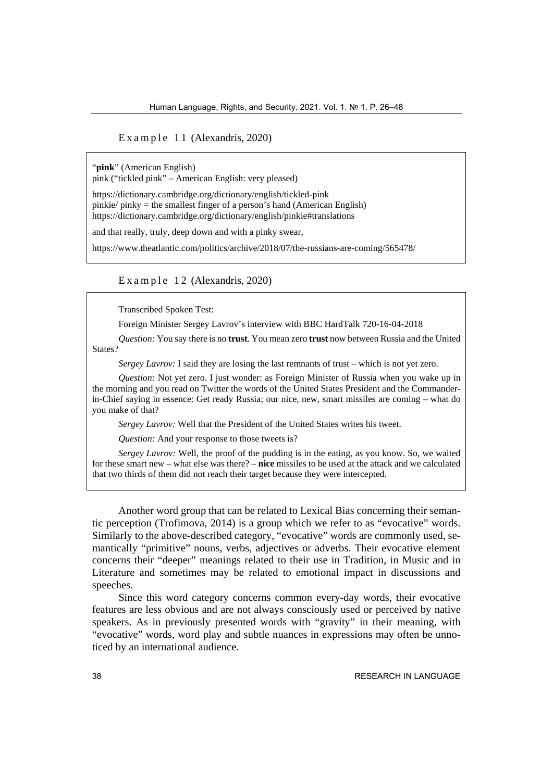E x a m p  $le$  1 1 (Alexandris, 2020)

"**pink**" (American English)

pink ("tickled pink" – American English: very pleased)

https://dictionary.cambridge.org/dictionary/english/tickled-pink pinkie/ pinky = the smallest finger of a person's hand (American English) https://dictionary.cambridge.org/dictionary/english/pinkie#translations

and that really, truly, deep down and with a pinky swear,

https://www.theatlantic.com/politics/archive/2018/07/the-russians-are-coming/565478/

E x a m p l e  $12$  (Alexandris, 2020)

Transcribed Spoken Test:

Foreign Minister Sergey Lavrov's interview with BBC HardTalk 720-16-04-2018

*Question:* You say there is no **trust**. You mean zero **trust** now between Russia and the United States?

*Sergey Lavrov:* I said they are losing the last remnants of trust – which is not yet zero.

*Question:* Not yet zero. I just wonder: as Foreign Minister of Russia when you wake up in the morning and you read on Twitter the words of the United States President and the Commanderin-Chief saying in essence: Get ready Russia; our nice, new, smart missiles are coming – what do you make of that?

*Sergey Lavrov:* Well that the President of the United States writes his tweet.

*Question:* And your response to those tweets is?

*Sergey Lavrov:* Well, the proof of the pudding is in the eating, as you know. So, we waited for these smart new – what else was there? – **nice** missiles to be used at the attack and we calculated that two thirds of them did not reach their target because they were intercepted.

Another word group that can be related to Lexical Bias concerning their semantic perception (Trofimova, 2014) is a group which we refer to as "evocative" words. Similarly to the above-described category, "evocative" words are commonly used, semantically "primitive" nouns, verbs, adjectives or adverbs. Their evocative element concerns their "deeper" meanings related to their use in Tradition, in Music and in Literature and sometimes may be related to emotional impact in discussions and speeches.

Since this word category concerns common every-day words, their evocative features are less obvious and are not always consciously used or perceived by native speakers. As in previously presented words with "gravity" in their meaning, with "evocative" words, word play and subtle nuances in expressions may often be unnoticed by an international audience.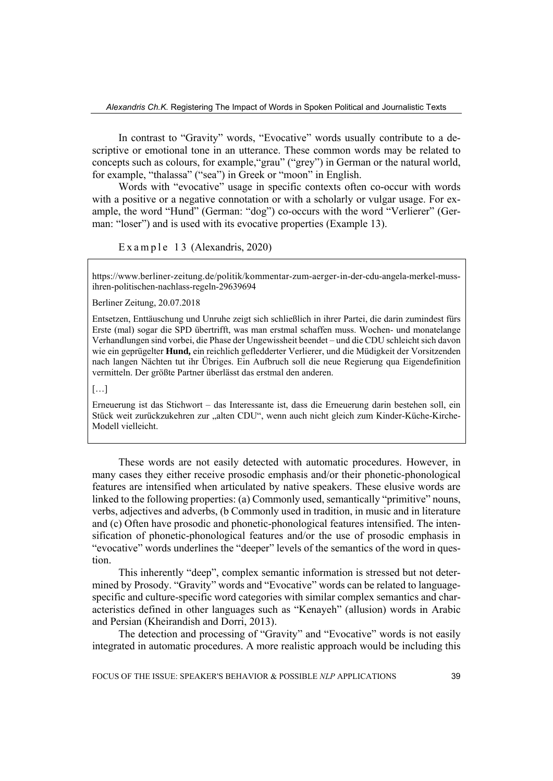In contrast to "Gravity" words, "Evocative" words usually contribute to a descriptive or emotional tone in an utterance. These common words may be related to concepts such as colours, for example,"grau" ("grey") in German or the natural world, for example, "thalassa" ("sea") in Greek or "moon" in English.

Words with "evocative" usage in specific contexts often co-occur with words with a positive or a negative connotation or with a scholarly or vulgar usage. For example, the word "Hund" (German: "dog") co-occurs with the word "Verlierer" (German: "loser") and is used with its evocative properties (Example 13).

E x a m p l e  $13$  (Alexandris, 2020)

https://www.berliner-zeitung.de/politik/kommentar-zum-aerger-in-der-cdu-angela-merkel-mussihren-politischen-nachlass-regeln-29639694

Berliner Zeitung, 20.07.2018

Entsetzen, Enttäuschung und Unruhe zeigt sich schließlich in ihrer Partei, die darin zumindest fürs Erste (mal) sogar die SPD übertrifft, was man erstmal schaffen muss. Wochen- und monatelange Verhandlungen sind vorbei, die Phase der Ungewissheit beendet – und die CDU schleicht sich davon wie ein geprügelter **Hund,** ein reichlich gefledderter Verlierer, und die Müdigkeit der Vorsitzenden nach langen Nächten tut ihr Übriges. Ein Aufbruch soll die neue Regierung qua Eigendefinition vermitteln. Der größte Partner überlässt das erstmal den anderen.

[…]

Erneuerung ist das Stichwort – das Interessante ist, dass die Erneuerung darin bestehen soll, ein Stück weit zurückzukehren zur "alten CDU", wenn auch nicht gleich zum Kinder-Küche-Kirche-Modell vielleicht.

These words are not easily detected with automatic procedures. However, in many cases they either receive prosodic emphasis and/or their phonetic-phonological features are intensified when articulated by native speakers. These elusive words are linked to the following properties: (a) Commonly used, semantically "primitive" nouns, verbs, adjectives and adverbs, (b Commonly used in tradition, in music and in literature and (c) Often have prosodic and phonetic-phonological features intensified. The intensification of phonetic-phonological features and/or the use of prosodic emphasis in "evocative" words underlines the "deeper" levels of the semantics of the word in question.

This inherently "deep", complex semantic information is stressed but not determined by Prosody. "Gravity" words and "Evocative" words can be related to languagespecific and culture-specific word categories with similar complex semantics and characteristics defined in other languages such as "Kenayeh" (allusion) words in Arabic and Persian (Kheirandish and Dorri, 2013).

The detection and processing of "Gravity" and "Evocative" words is not easily integrated in automatic procedures. A more realistic approach would be including this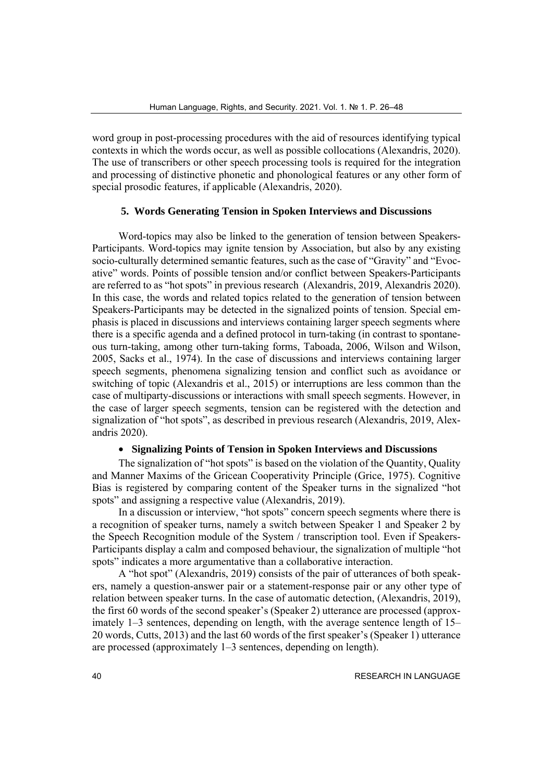word group in post-processing procedures with the aid of resources identifying typical contexts in which the words occur, as well as possible collocations (Alexandris, 2020). The use of transcribers or other speech processing tools is required for the integration and processing of distinctive phonetic and phonological features or any other form of special prosodic features, if applicable (Alexandris, 2020).

## **5. Words Generating Tension in Spoken Interviews and Discussions**

Word-topics may also be linked to the generation of tension between Speakers-Participants. Word-topics may ignite tension by Association, but also by any existing socio-culturally determined semantic features, such as the case of "Gravity" and "Evocative" words. Points of possible tension and/or conflict between Speakers-Participants are referred to as "hot spots" in previous research (Alexandris, 2019, Alexandris 2020). In this case, the words and related topics related to the generation of tension between Speakers-Participants may be detected in the signalized points of tension. Special emphasis is placed in discussions and interviews containing larger speech segments where there is a specific agenda and a defined protocol in turn-taking (in contrast to spontaneous turn-taking, among other turn-taking forms, Taboada, 2006, Wilson and Wilson, 2005, Sacks et al., 1974). In the case of discussions and interviews containing larger speech segments, phenomena signalizing tension and conflict such as avoidance or switching of topic (Alexandris et al., 2015) or interruptions are less common than the case of multiparty-discussions or interactions with small speech segments. However, in the case of larger speech segments, tension can be registered with the detection and signalization of "hot spots", as described in previous research (Alexandris, 2019, Alexandris 2020).

## • **Signalizing Points of Tension in Spoken Interviews and Discussions**

The signalization of "hot spots" is based on the violation of the Quantity, Quality and Manner Maxims of the Gricean Cooperativity Principle (Grice, 1975). Cognitive Bias is registered by comparing content of the Speaker turns in the signalized "hot spots" and assigning a respective value (Alexandris, 2019).

In a discussion or interview, "hot spots" concern speech segments where there is a recognition of speaker turns, namely a switch between Speaker 1 and Speaker 2 by the Speech Recognition module of the System / transcription tool. Even if Speakers-Participants display a calm and composed behaviour, the signalization of multiple "hot spots" indicates a more argumentative than a collaborative interaction.

A "hot spot" (Alexandris, 2019) consists of the pair of utterances of both speakers, namely a question-answer pair or a statement-response pair or any other type of relation between speaker turns. In the case of automatic detection, (Alexandris, 2019), the first 60 words of the second speaker's (Speaker 2) utterance are processed (approximately 1–3 sentences, depending on length, with the average sentence length of 15– 20 words, Cutts, 2013) and the last 60 words of the first speaker's (Speaker 1) utterance are processed (approximately 1–3 sentences, depending on length).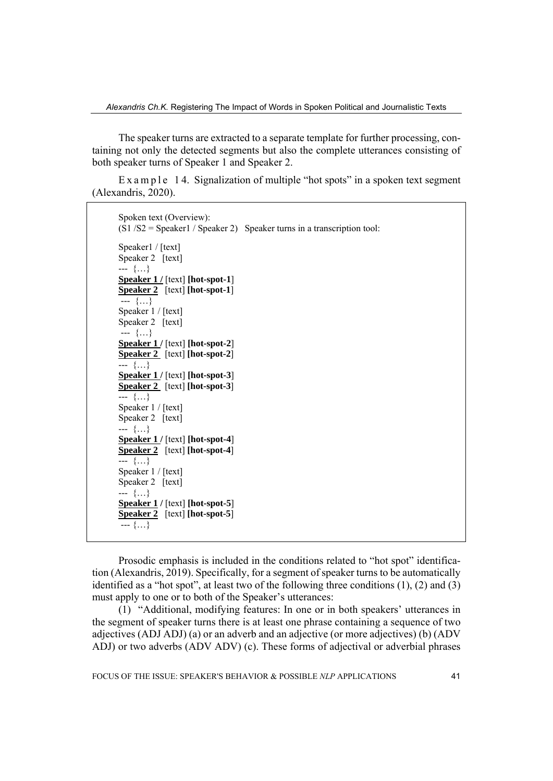The speaker turns are extracted to a separate template for further processing, containing not only the detected segments but also the complete utterances consisting of both speaker turns of Speaker 1 and Speaker 2.

E x a m p  $\leq 14$ . Signalization of multiple "hot spots" in a spoken text segment (Alexandris, 2020).

```
Spoken text (Overview): 
(S1 / S2 = Speaker1 / Speaker 2) Speaker turns in a transcription tool:
Speaker1 / [text]
Speaker 2 [text]
--- {…} 
Speaker 1 / [text] [hot-spot-1]
Speaker 2 [text] [hot-spot-1]
 --- {…} 
Speaker 1 / [text] 
Speaker 2 [text]
 --- {…} 
Speaker 1 / [text] [hot-spot-2] 
Speaker 2 [text] [hot-spot-2]
--- {…} 
Speaker 1 / [text] [hot-spot-3]
Speaker 2 [text] [hot-spot-3]
--- {…} 
Speaker 1 / [text] 
Speaker 2 [text]
--- {…} 
Speaker 1 / [text] [hot-spot-4]
Speaker 2 [text] [hot-spot-4]
--- {…} 
Speaker 1 / [text] 
Speaker 2 [text]
--- {…} 
Speaker 1 / [text] [hot-spot-5]
Speaker 2 [text] [hot-spot-5] 
 --- {…}
```
Prosodic emphasis is included in the conditions related to "hot spot" identification (Alexandris, 2019). Specifically, for a segment of speaker turns to be automatically identified as a "hot spot", at least two of the following three conditions (1), (2) and (3) must apply to one or to both of the Speaker's utterances:

(1) "Additional, modifying features: In one or in both speakers' utterances in the segment of speaker turns there is at least one phrase containing a sequence of two adjectives (ADJ ADJ) (a) or an adverb and an adjective (or more adjectives) (b) (ADV ADJ) or two adverbs (ADV ADV) (c). These forms of adjectival or adverbial phrases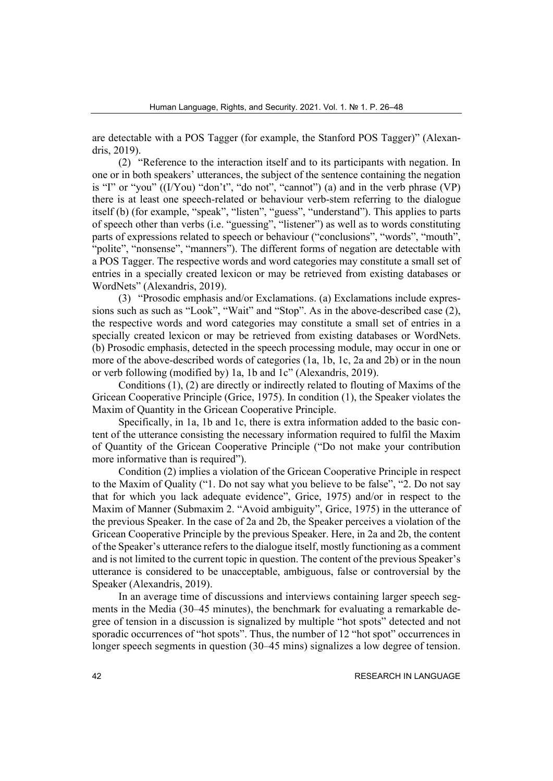are detectable with a POS Tagger (for example, the Stanford POS Tagger)" (Alexandris, 2019).

(2) "Reference to the interaction itself and to its participants with negation. In one or in both speakers' utterances, the subject of the sentence containing the negation is "I" or "you"  $((I/You)$  "don't", "do not", "cannot") (a) and in the verb phrase  $(VP)$ there is at least one speech-related or behaviour verb-stem referring to the dialogue itself (b) (for example, "speak", "listen", "guess", "understand"). This applies to parts of speech other than verbs (i.e. "guessing", "listener") as well as to words constituting parts of expressions related to speech or behaviour ("conclusions", "words", "mouth", "polite", "nonsense", "manners"). The different forms of negation are detectable with a POS Tagger. The respective words and word categories may constitute a small set of entries in a specially created lexicon or may be retrieved from existing databases or WordNets" (Alexandris, 2019).

(3) "Prosodic emphasis and/or Exclamations. (a) Exclamations include expressions such as such as "Look", "Wait" and "Stop". As in the above-described case (2), the respective words and word categories may constitute a small set of entries in a specially created lexicon or may be retrieved from existing databases or WordNets. (b) Prosodic emphasis, detected in the speech processing module, may occur in one or more of the above-described words of categories (1a, 1b, 1c, 2a and 2b) or in the noun or verb following (modified by) 1a, 1b and 1c" (Alexandris, 2019).

Conditions (1), (2) are directly or indirectly related to flouting of Maxims of the Gricean Cooperative Principle (Grice, 1975). In condition (1), the Speaker violates the Maxim of Quantity in the Gricean Cooperative Principle.

Specifically, in 1a, 1b and 1c, there is extra information added to the basic content of the utterance consisting the necessary information required to fulfil the Maxim of Quantity of the Gricean Cooperative Principle ("Do not make your contribution more informative than is required").

Condition (2) implies a violation of the Gricean Cooperative Principle in respect to the Maxim of Quality ("1. Do not say what you believe to be false", "2. Do not say that for which you lack adequate evidence", Grice, 1975) and/or in respect to the Maxim of Manner (Submaxim 2. "Avoid ambiguity", Grice, 1975) in the utterance of the previous Speaker. In the case of 2a and 2b, the Speaker perceives a violation of the Gricean Cooperative Principle by the previous Speaker. Here, in 2a and 2b, the content of the Speaker's utterance refers to the dialogue itself, mostly functioning as a comment and is not limited to the current topic in question. The content of the previous Speaker's utterance is considered to be unacceptable, ambiguous, false or controversial by the Speaker (Alexandris, 2019).

In an average time of discussions and interviews containing larger speech segments in the Media (30–45 minutes), the benchmark for evaluating a remarkable degree of tension in a discussion is signalized by multiple "hot spots" detected and not sporadic occurrences of "hot spots". Thus, the number of 12 "hot spot" occurrences in longer speech segments in question (30–45 mins) signalizes a low degree of tension.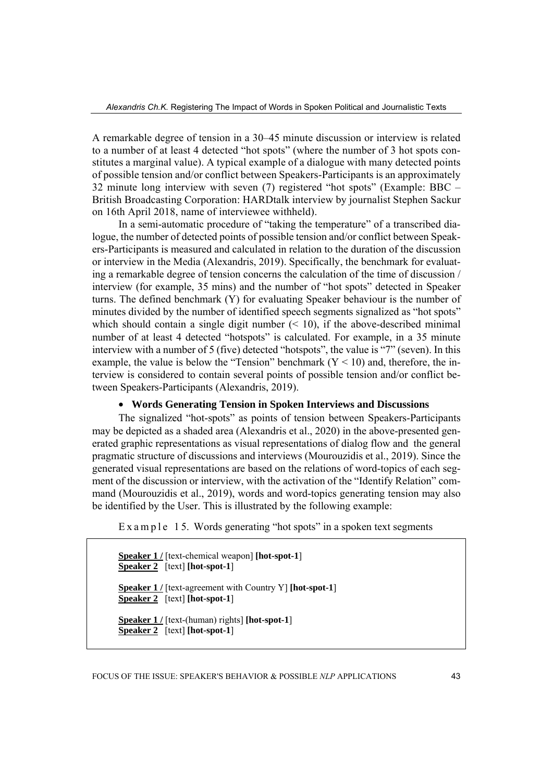A remarkable degree of tension in a 30–45 minute discussion or interview is related to a number of at least 4 detected "hot spots" (where the number of 3 hot spots constitutes a marginal value). A typical example of a dialogue with many detected points of possible tension and/or conflict between Speakers-Participants is an approximately 32 minute long interview with seven (7) registered "hot spots" (Example: BBC – British Broadcasting Corporation: HARDtalk interview by journalist Stephen Sackur on 16th April 2018, name of interviewee withheld).

In a semi-automatic procedure of "taking the temperature" of a transcribed dialogue, the number of detected points of possible tension and/or conflict between Speakers-Participants is measured and calculated in relation to the duration of the discussion or interview in the Media (Alexandris, 2019). Specifically, the benchmark for evaluating a remarkable degree of tension concerns the calculation of the time of discussion / interview (for example, 35 mins) and the number of "hot spots" detected in Speaker turns. The defined benchmark (Y) for evaluating Speaker behaviour is the number of minutes divided by the number of identified speech segments signalized as "hot spots" which should contain a single digit number  $($   $<$  10), if the above-described minimal number of at least 4 detected "hotspots" is calculated. For example, in a 35 minute interview with a number of 5 (five) detected "hotspots", the value is "7" (seven). In this example, the value is below the "Tension" benchmark  $(Y < 10)$  and, therefore, the interview is considered to contain several points of possible tension and/or conflict between Speakers-Participants (Alexandris, 2019).

## • **Words Generating Tension in Spoken Interviews and Discussions**

The signalized "hot-spots" as points of tension between Speakers-Participants may be depicted as a shaded area (Alexandris et al., 2020) in the above-presented generated graphic representations as visual representations of dialog flow and the general pragmatic structure of discussions and interviews (Mourouzidis et al., 2019). Since the generated visual representations are based on the relations of word-topics of each segment of the discussion or interview, with the activation of the "Identify Relation" command (Mourouzidis et al., 2019), words and word-topics generating tension may also be identified by the User. This is illustrated by the following example:

E x a m p  $\leq 15$ . Words generating "hot spots" in a spoken text segments

**Speaker 1 / [text-chemical weapon]** [hot-spot-1] **Speaker 2** [text] **[hot-spot-1**]

**Speaker 1 /** [text-agreement with Country Y] **[hot-spot-1**] **Speaker 2** [text] **[hot-spot-1**]

**Speaker 1 /** [text-(human) rights] **[hot-spot-1**] **Speaker 2** [text] **[hot-spot-1**]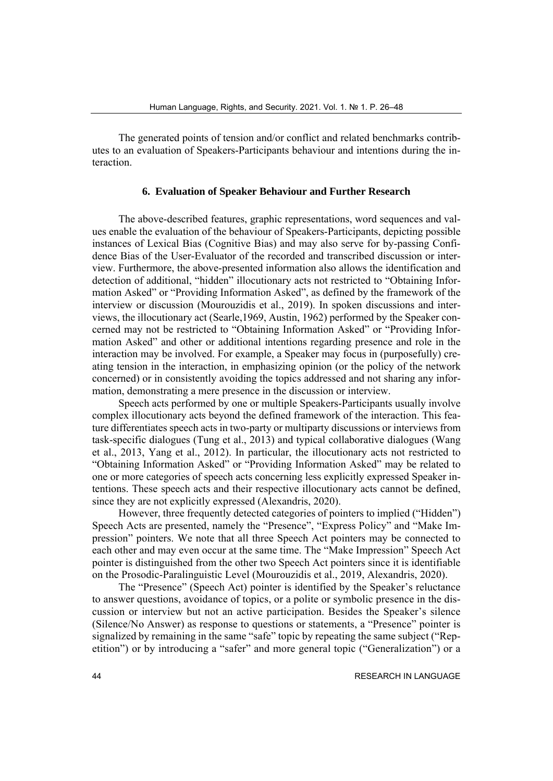The generated points of tension and/or conflict and related benchmarks contributes to an evaluation of Speakers-Participants behaviour and intentions during the interaction.

## **6. Evaluation of Speaker Behaviour and Further Research**

The above-described features, graphic representations, word sequences and values enable the evaluation of the behaviour of Speakers-Participants, depicting possible instances of Lexical Bias (Cognitive Bias) and may also serve for by-passing Confidence Bias of the User-Evaluator of the recorded and transcribed discussion or interview. Furthermore, the above-presented information also allows the identification and detection of additional, "hidden" illocutionary acts not restricted to "Obtaining Information Asked" or "Providing Information Asked", as defined by the framework of the interview or discussion (Mourouzidis et al., 2019). In spoken discussions and interviews, the illocutionary act (Searle,1969, Austin, 1962) performed by the Speaker concerned may not be restricted to "Obtaining Information Asked" or "Providing Information Asked" and other or additional intentions regarding presence and role in the interaction may be involved. For example, a Speaker may focus in (purposefully) creating tension in the interaction, in emphasizing opinion (or the policy of the network concerned) or in consistently avoiding the topics addressed and not sharing any information, demonstrating a mere presence in the discussion or interview.

Speech acts performed by one or multiple Speakers-Participants usually involve complex illocutionary acts beyond the defined framework of the interaction. This feature differentiates speech acts in two-party or multiparty discussions or interviews from task-specific dialogues (Tung et al., 2013) and typical collaborative dialogues (Wang et al., 2013, Yang et al., 2012). In particular, the illocutionary acts not restricted to "Obtaining Information Asked" or "Providing Information Asked" may be related to one or more categories of speech acts concerning less explicitly expressed Speaker intentions. These speech acts and their respective illocutionary acts cannot be defined, since they are not explicitly expressed (Alexandris, 2020).

However, three frequently detected categories of pointers to implied ("Hidden") Speech Acts are presented, namely the "Presence", "Express Policy" and "Make Impression" pointers. We note that all three Speech Act pointers may be connected to each other and may even occur at the same time. The "Make Impression" Speech Act pointer is distinguished from the other two Speech Act pointers since it is identifiable on the Prosodic-Paralinguistic Level (Mourouzidis et al., 2019, Alexandris, 2020).

The "Presence" (Speech Act) pointer is identified by the Speaker's reluctance to answer questions, avoidance of topics, or a polite or symbolic presence in the discussion or interview but not an active participation. Besides the Speaker's silence (Silence/No Answer) as response to questions or statements, a "Presence" pointer is signalized by remaining in the same "safe" topic by repeating the same subject ("Repetition") or by introducing a "safer" and more general topic ("Generalization") or a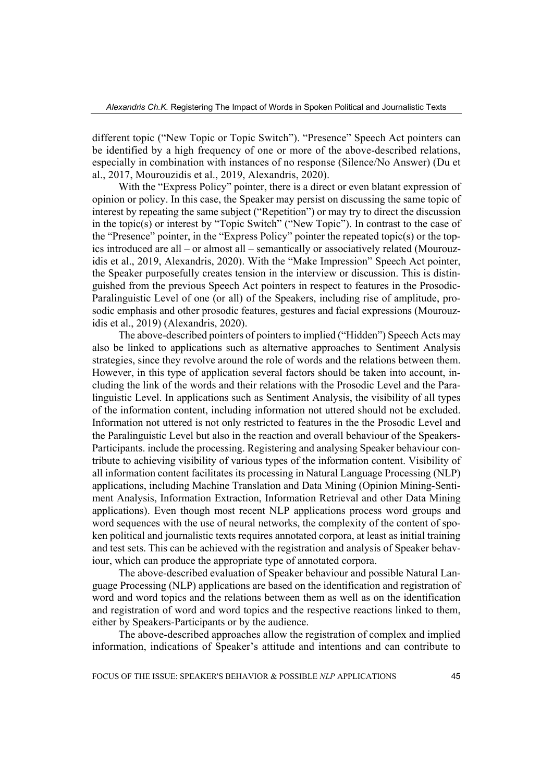different topic ("New Topic or Topic Switch"). "Presence" Speech Act pointers can be identified by a high frequency of one or more of the above-described relations, especially in combination with instances of no response (Silence/No Answer) (Du et al., 2017, Mourouzidis et al., 2019, Alexandris, 2020).

With the "Express Policy" pointer, there is a direct or even blatant expression of opinion or policy. In this case, the Speaker may persist on discussing the same topic of interest by repeating the same subject ("Repetition") or may try to direct the discussion in the topic(s) or interest by "Topic Switch" ("New Topic"). In contrast to the case of the "Presence" pointer, in the "Express Policy" pointer the repeated topic(s) or the topics introduced are all – or almost all – semantically or associatively related (Mourouzidis et al., 2019, Alexandris, 2020). With the "Make Impression" Speech Act pointer, the Speaker purposefully creates tension in the interview or discussion. This is distinguished from the previous Speech Act pointers in respect to features in the Prosodic-Paralinguistic Level of one (or all) of the Speakers, including rise of amplitude, prosodic emphasis and other prosodic features, gestures and facial expressions (Mourouzidis et al., 2019) (Alexandris, 2020).

The above-described pointers of pointers to implied ("Hidden") Speech Acts may also be linked to applications such as alternative approaches to Sentiment Analysis strategies, since they revolve around the role of words and the relations between them. However, in this type of application several factors should be taken into account, including the link of the words and their relations with the Prosodic Level and the Paralinguistic Level. In applications such as Sentiment Analysis, the visibility of all types of the information content, including information not uttered should not be excluded. Information not uttered is not only restricted to features in the the Prosodic Level and the Paralinguistic Level but also in the reaction and overall behaviour of the Speakers-Participants. include the processing. Registering and analysing Speaker behaviour contribute to achieving visibility of various types of the information content. Visibility of all information content facilitates its processing in Natural Language Processing (NLP) applications, including Machine Translation and Data Mining (Opinion Mining-Sentiment Analysis, Information Extraction, Information Retrieval and other Data Mining applications). Even though most recent NLP applications process word groups and word sequences with the use of neural networks, the complexity of the content of spoken political and journalistic texts requires annotated corpora, at least as initial training and test sets. This can be achieved with the registration and analysis of Speaker behaviour, which can produce the appropriate type of annotated corpora.

The above-described evaluation of Speaker behaviour and possible Natural Language Processing (NLP) applications are based on the identification and registration of word and word topics and the relations between them as well as on the identification and registration of word and word topics and the respective reactions linked to them, either by Speakers-Participants or by the audience.

The above-described approaches allow the registration of complex and implied information, indications of Speaker's attitude and intentions and can contribute to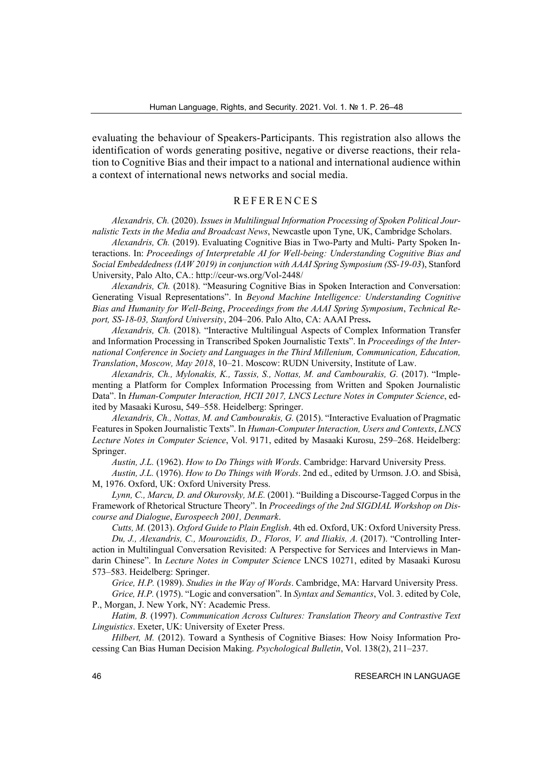evaluating the behaviour of Speakers-Participants. This registration also allows the identification of words generating positive, negative or diverse reactions, their relation to Cognitive Bias and their impact to a national and international audience within a context of international news networks and social media.

## REFERENCES

*Alexandris, Ch.* (2020). *Issues in Multilingual Information Processing of Spoken Political Journalistic Texts in the Media and Broadcast News*, Newcastle upon Tyne, UK, Cambridge Scholars.

*Alexandris, Ch.* (2019). Evaluating Cognitive Bias in Two-Party and Multi- Party Spoken Interactions. In: *Proceedings of Interpretable AI for Well-being: Understanding Cognitive Bias and Social Embeddedness (IAW 2019) in conjunction with AAAI Spring Symposium (SS-19-03*), Stanford University, Palo Alto, CA.: http://ceur-ws.org/Vol-2448/

*Alexandris, Ch.* (2018). "Measuring Cognitive Bias in Spoken Interaction and Conversation: Generating Visual Representations". In *Beyond Machine Intelligence: Understanding Cognitive Bias and Humanity for Well-Being*, *Proceedings from the AAAI Spring Symposium*, *Technical Report, SS-18-03, Stanford University*, 204–206. Palo Alto, CA: AAAI Press**.**

*Alexandris, Ch.* (2018). "Interactive Multilingual Aspects of Complex Information Transfer and Information Processing in Transcribed Spoken Journalistic Texts". In *Proceedings of the International Conference in Society and Languages in the Third Millenium, Communication, Education, Translation*, *Moscow, May 2018*, 10–21. Moscow: RUDN University, Institute of Law.

*Alexandris, Ch., Mylonakis, K., Tassis, S., Nottas, M. and Cambourakis, G.* (2017). "Implementing a Platform for Complex Information Processing from Written and Spoken Journalistic Data". In *Human-Computer Interaction, HCII 2017, LNCS Lecture Notes in Computer Science*, edited by Masaaki Kurosu, 549–558. Heidelberg: Springer.

*Alexandris, Ch., Nottas, M. and Cambourakis, G.* (2015). "Interactive Evaluation of Pragmatic Features in Spoken Journalistic Texts". In *Human-Computer Interaction, Users and Contexts*, *LNCS Lecture Notes in Computer Science*, Vol. 9171, edited by Masaaki Kurosu, 259–268. Heidelberg: Springer.

*Austin, J.L.* (1962). *How to Do Things with Words*. Cambridge: Harvard University Press.

*Austin, J.L.* (1976). *How to Do Things with Words*. 2nd ed., edited by Urmson. J.O. and Sbisà, M, 1976. Oxford, UK: Oxford University Press.

*Lynn, С., Marcu, D. and Okurovsky, M.E.* (2001). "Building a Discourse-Tagged Corpus in the Framework of Rhetorical Structure Theory". In *Proceedings of the 2nd SIGDIAL Workshop on Discourse and Dialogue*, *Eurospeech 2001, Denmark*.

*Cutts, M.* (2013). *Oxford Guide to Plain English*. 4th ed. Oxford, UK: Oxford University Press. *Du, J., Alexandris, C., Mourouzidis, D., Floros, V. and Iliakis, A.* (2017). "Controlling Interaction in Multilingual Conversation Revisited: A Perspective for Services and Interviews in Mandarin Chinese". In *Lecture Notes in Computer Science* LNCS 10271, edited by Masaaki Kurosu 573–583. Heidelberg: Springer.

*Grice, H.P.* (1989). *Studies in the Way of Words*. Cambridge, MA: Harvard University Press.

*Grice, H.P.* (1975). "Logic and conversation". In *Syntax and Semantics*, Vol. 3. edited by Cole, P., Morgan, J. New York, NY: Academic Press.

*Hatim, B.* (1997). *Communication Across Cultures: Translation Theory and Contrastive Text Linguistics*. Exeter, UK: University of Exeter Press.

*Hilbert, M.* (2012). Toward a Synthesis of Cognitive Biases: How Noisy Information Processing Can Bias Human Decision Making. *Psychological Bulletin*, Vol. 138(2), 211–237.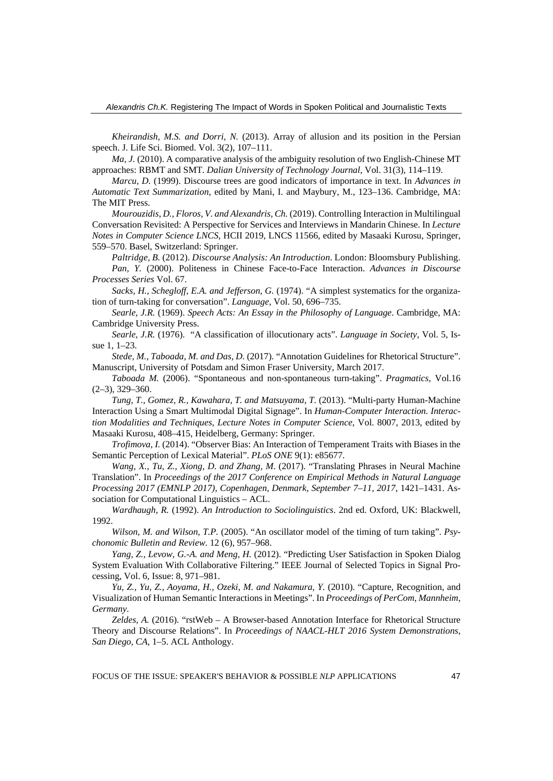*Kheirandish, M.S. and Dorri, N.* (2013). Array of allusion and its position in the Persian speech. J. Life Sci. Biomed. Vol. 3(2), 107–111.

*Ma, J.* (2010). A comparative analysis of the ambiguity resolution of two English-Chinese MT approaches: RBMT and SMT. *Dalian University of Technology Journal*, Vol. 31(3), 114–119.

*Marcu, D.* (1999). Discourse trees are good indicators of importance in text. In *Advances in Automatic Text Summarization*, edited by Mani, I. and Maybury, M., 123–136. Cambridge, MA: The MIT Press.

*Mourouzidis, D., Floros, V. and Alexandris, Ch.* (2019). Controlling Interaction in Multilingual Conversation Revisited: A Perspective for Services and Interviews in Mandarin Chinese. In *Lecture Notes in Computer Science LNCS*, HCII 2019, LNCS 11566, edited by Masaaki Kurosu, Springer, 559–570. Basel, Switzerland: Springer.

*Paltridge, B.* (2012). *Discourse Analysis: An Introduction*. London: Bloomsbury Publishing. *Pan, Y.* (2000). Politeness in Chinese Face-to-Face Interaction. *Advances in Discourse Processes Series* Vol. 67.

*Sacks, H., Schegloff, E.A. and Jefferson, G.* (1974). "A simplest systematics for the organization of turn-taking for conversation". *Language*, Vol. 50, 696–735.

*Searle, J.R.* (1969). *Speech Acts: An Essay in the Philosophy of Language*. Cambridge, MA: Cambridge University Press.

*Searle, J.R.* (1976). "A classification of illocutionary acts". *Language in Society,* Vol. 5, Issue 1, 1–23.

*Stede, M., Taboada, M. and Das, D.* (2017). "Annotation Guidelines for Rhetorical Structure". Manuscript, University of Potsdam and Simon Fraser University, March 2017.

*Taboada M.* (2006). "Spontaneous and non-spontaneous turn-taking". *Pragmatics*, Vol.16  $(2-3)$ , 329 $-360$ .

*Tung, T., Gomez, R., Kawahara, T. and Matsuyama, T.* (2013). "Multi-party Human-Machine Interaction Using a Smart Multimodal Digital Signage". In *Human-Computer Interaction. Interaction Modalities and Techniques, Lecture Notes in Computer Science*, Vol. 8007, 2013, edited by Masaaki Kurosu, 408–415, Heidelberg, Germany: Springer.

*Trofimova, I.* (2014). "Observer Bias: An Interaction of Temperament Traits with Biases in the Semantic Perception of Lexical Material". *PLoS ONE* 9(1): e85677.

*Wang, X., Tu, Z., Xiong, D. and Zhang, M*. (2017). "Translating Phrases in Neural Machine Translation". In *Proceedings of the 2017 Conference on Empirical Methods in Natural Language Processing 2017 (EMNLP 2017), Copenhagen, Denmark, September 7–11, 2017*, 1421–1431. Association for Computational Linguistics – ACL.

*Wardhaugh, R.* (1992). *An Introduction to Sociolinguistics*. 2nd ed. Oxford, UK: Blackwell, 1992.

*Wilson, M. and Wilson, T.P.* (2005). "An oscillator model of the timing of turn taking". *Psychonomic Bulletin and Review*. 12 (6), 957–968.

*Yang, Z., Levow, G.-A. and Meng, H.* (2012). "Predicting User Satisfaction in Spoken Dialog System Evaluation With Collaborative Filtering." IEEE Journal of Selected Topics in Signal Processing, Vol. 6, Issue: 8, 971–981.

*Yu, Z., Yu, Z., Aoyama, H., Ozeki, M. and Nakamura, Y.* (2010). "Capture, Recognition, and Visualization of Human Semantic Interactions in Meetings". In *Proceedings of PerCom*, *Mannheim, Germany*.

*Zeldes, A.* (2016). "rstWeb – A Browser-based Annotation Interface for Rhetorical Structure Theory and Discourse Relations". In *Proceedings of NAACL-HLT 2016 System Demonstrations*, *San Diego, CA*, 1–5. ACL Anthology.